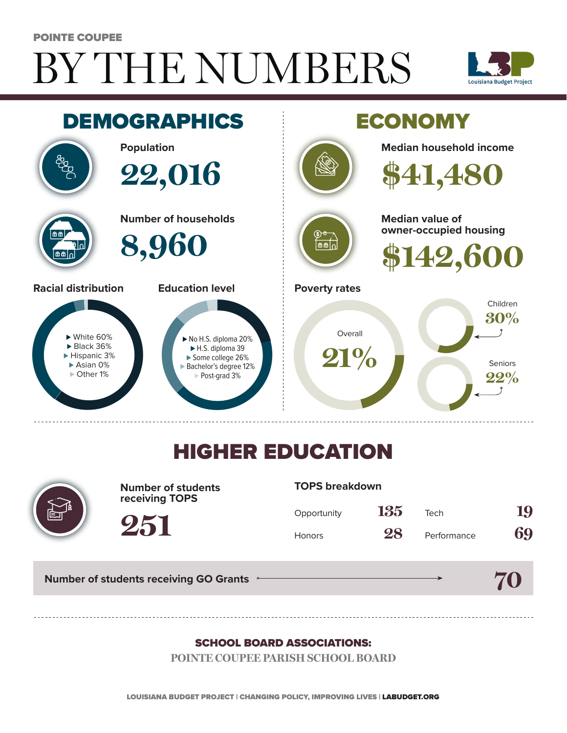# BY THE NUMBERS POINTE COUPEE





## HIGHER EDUCATION



**Number of students receiving TOPS**

#### **TOPS breakdown**

| Opportunity   | 135 | Tech        | 19 |
|---------------|-----|-------------|----|
| <b>Honors</b> | 28  | Performance | 69 |

**70**

**Number of students receiving GO Grants**

**251**

#### SCHOOL BOARD ASSOCIATIONS:

**POINTE COUPEE PARISH SCHOOL BOARD**